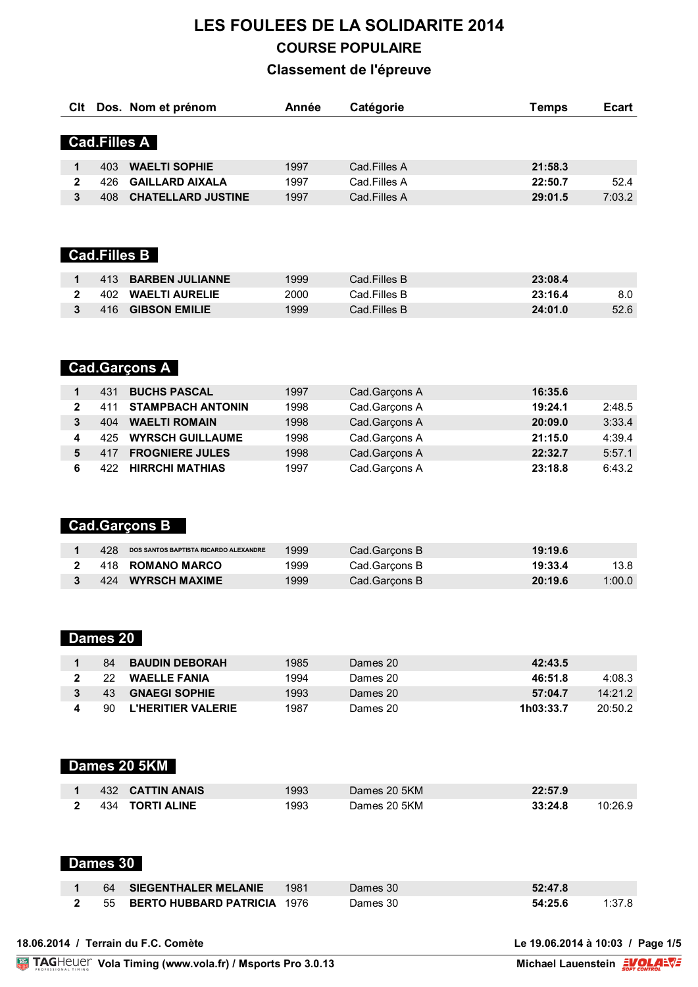# **LES FOULEES DE LA SOLIDARITE 2014 COURSE POPULAIRE**

#### **Classement de l'épreuve**

| Clt          |     | Dos. Nom et prénom        | Année | Catégorie    | Temps   | <b>Ecart</b> |
|--------------|-----|---------------------------|-------|--------------|---------|--------------|
|              |     | <b>Cad.Filles A</b>       |       |              |         |              |
|              |     |                           |       |              |         |              |
| 1            | 403 | <b>WAELTI SOPHIE</b>      | 1997  | Cad.Filles A | 21:58.3 |              |
| 2            | 426 | <b>GAILLARD AIXALA</b>    | 1997  | Cad.Filles A | 22:50.7 | 52.4         |
| 3            | 408 | <b>CHATELLARD JUSTINE</b> | 1997  | Cad.Filles A | 29:01.5 | 7:03.2       |
|              |     |                           |       |              |         |              |
|              |     |                           |       |              |         |              |
|              |     |                           |       |              |         |              |
|              |     | <b>Cad.Filles B</b>       |       |              |         |              |
|              |     |                           |       |              |         |              |
| 1            | 413 | <b>BARBEN JULIANNE</b>    | 1999  | Cad.Filles B | 23:08.4 |              |
| $\mathbf{2}$ | 402 | <b>WAELTI AURELIE</b>     | 2000  | Cad.Filles B | 23:16.4 | 8.0          |
| 3            | 416 | <b>GIBSON EMILIE</b>      | 1999  | Cad.Filles B | 24:01.0 | 52.6         |

## **Cad.Garçons A**

|   | 431 | <b>BUCHS PASCAL</b>      | 1997 | Cad.Garçons A | 16:35.6           |
|---|-----|--------------------------|------|---------------|-------------------|
| 2 | 411 | <b>STAMPBACH ANTONIN</b> | 1998 | Cad.Garçons A | 2:48.5<br>19:24.1 |
|   | 404 | <b>WAELTI ROMAIN</b>     | 1998 | Cad.Garçons A | 3:33.4<br>20:09.0 |
| 4 | 425 | <b>WYRSCH GUILLAUME</b>  | 1998 | Cad.Garçons A | 21:15.0<br>4:39.4 |
| 5 | 417 | <b>FROGNIERE JULES</b>   | 1998 | Cad.Garçons A | 5:57.1<br>22:32.7 |
|   | 422 | <b>HIRRCHI MATHIAS</b>   | 1997 | Cad.Garçons A | 23:18.8<br>6:43.2 |

## **Cad.Garçons B**

| 428 | DOS SANTOS BAPTISTA RICARDO ALEXANDRE | 1999 | Cad.Garcons B | 19:19.6 |        |
|-----|---------------------------------------|------|---------------|---------|--------|
|     | 418 ROMANO MARCO                      | 1999 | Cad.Garcons B | 19:33.4 | 13.8   |
| 424 | <b>WYRSCH MAXIME</b>                  | 1999 | Cad.Garcons B | 20:19.6 | 1:00.0 |

# **Dames 20**

| 84  | <b>BAUDIN DEBORAH</b>     | 1985 | Dames 20 | 42:43.5              |
|-----|---------------------------|------|----------|----------------------|
| 22  | <b>WAELLE FANIA</b>       | 1994 | Dames 20 | 4:08.3<br>46:51.8    |
| 43  | <b>GNAEGI SOPHIE</b>      | 1993 | Dames 20 | 14:21.2<br>57:04.7   |
| 90. | <b>L'HERITIER VALERIE</b> | 1987 | Dames 20 | 20:50.2<br>1h03:33.7 |

## **Dames 20 5KM**

| 432 CATTIN ANAIS  | 1993  | Dames 20 5KM | 22:57.9 |         |
|-------------------|-------|--------------|---------|---------|
| 2 434 TORTI ALINE | 1993. | Dames 20 5KM | 33:24.8 | 10:26.9 |

#### **Dames 30**

|  | <b>64 SIEGENTHALER MELANIE</b>   | $\sim$ 1981 | Dames 30 | 52:47.8 |        |
|--|----------------------------------|-------------|----------|---------|--------|
|  | 2 55 BERTO HUBBARD PATRICIA 1976 |             | Dames 30 | 54:25.6 | 1:37.8 |

|  |  |  |  | 18.06.2014 / Terrain du F.C. Comète |  |  |  |
|--|--|--|--|-------------------------------------|--|--|--|
|--|--|--|--|-------------------------------------|--|--|--|

**18.06.2014 / Terrain du F.C. Comète Le 19.06.2014 à 10:03 / Page 1/5**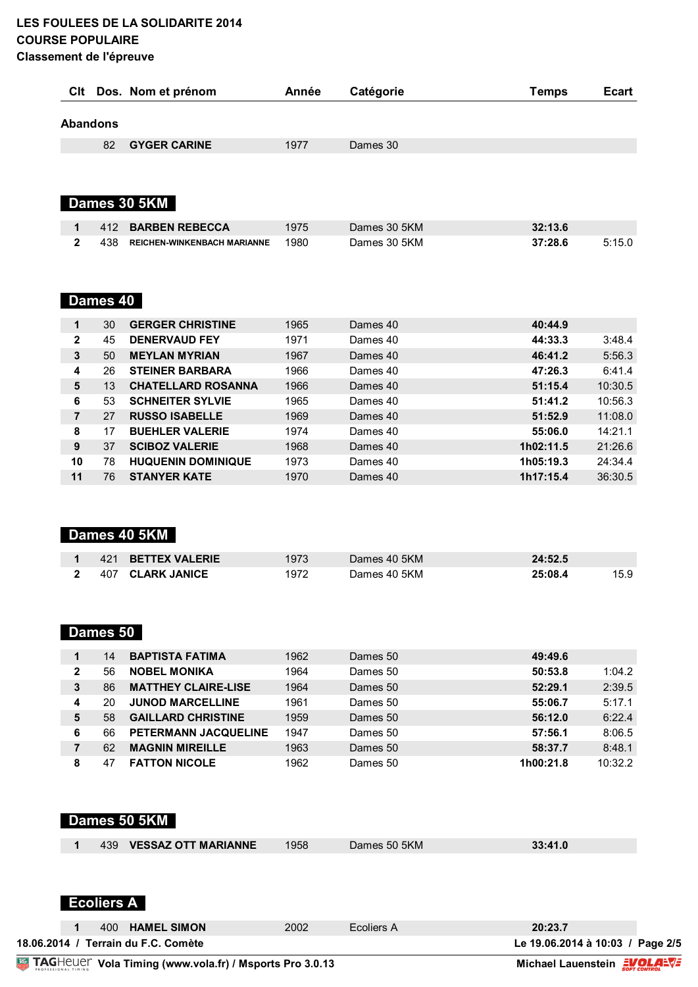#### **LES FOULEES DE LA SOLIDARITE 2014 COURSE POPULAIRE Classement de l'épreuve**

|                 |     | CIt Dos. Nom et prénom             | Année | Catégorie    | <b>Temps</b> | <b>Ecart</b> |
|-----------------|-----|------------------------------------|-------|--------------|--------------|--------------|
| <b>Abandons</b> |     |                                    |       |              |              |              |
|                 | 82  | <b>GYGER CARINE</b>                | 1977  | Dames 30     |              |              |
|                 |     |                                    |       |              |              |              |
|                 |     |                                    |       |              |              |              |
|                 |     | Dames 30 5KM                       |       |              |              |              |
| 1               | 412 | <b>BARBEN REBECCA</b>              | 1975  | Dames 30 5KM | 32:13.6      |              |
| 2               | 438 | <b>REICHEN-WINKENBACH MARIANNE</b> | 1980  | Dames 30 5KM | 37:28.6      | 5:15.0       |

## **Dames 40**

| 1              | 30 | <b>GERGER CHRISTINE</b>   | 1965 | Dames 40 | 40:44.9              |
|----------------|----|---------------------------|------|----------|----------------------|
| $\mathbf{2}$   | 45 | <b>DENERVAUD FEY</b>      | 1971 | Dames 40 | 44:33.3<br>3:48.4    |
| 3              | 50 | <b>MEYLAN MYRIAN</b>      | 1967 | Dames 40 | 5:56.3<br>46:41.2    |
| 4              | 26 | <b>STEINER BARBARA</b>    | 1966 | Dames 40 | 6:41.4<br>47:26.3    |
| 5              | 13 | <b>CHATELLARD ROSANNA</b> | 1966 | Dames 40 | 10:30.5<br>51:15.4   |
| 6              | 53 | <b>SCHNEITER SYLVIE</b>   | 1965 | Dames 40 | 10:56.3<br>51:41.2   |
| $\overline{7}$ | 27 | <b>RUSSO ISABELLE</b>     | 1969 | Dames 40 | 11:08.0<br>51:52.9   |
| 8              | 17 | <b>BUEHLER VALERIE</b>    | 1974 | Dames 40 | 14:21.1<br>55:06.0   |
| 9              | 37 | <b>SCIBOZ VALERIE</b>     | 1968 | Dames 40 | 21:26.6<br>1h02:11.5 |
| 10             | 78 | <b>HUQUENIN DOMINIQUE</b> | 1973 | Dames 40 | 24:34.4<br>1h05:19.3 |
| 11             | 76 | <b>STANYER KATE</b>       | 1970 | Dames 40 | 36:30.5<br>1h17:15.4 |

# **Dames 40 5KM**

|  | 421 BETTEX VALERIE | 1973 | Dames 40 5KM | 24:52.5 |  |
|--|--------------------|------|--------------|---------|--|
|  | 407 CLARK JANICE   | 972  | Dames 40 5KM | 25:08.4 |  |

# **Dames 50**

|   | 14 | <b>BAPTISTA FATIMA</b>      | 1962 | Dames 50 | 49:49.6              |
|---|----|-----------------------------|------|----------|----------------------|
| 2 | 56 | <b>NOBEL MONIKA</b>         | 1964 | Dames 50 | 1:04.2<br>50:53.8    |
| 3 | 86 | <b>MATTHEY CLAIRE-LISE</b>  | 1964 | Dames 50 | 2:39.5<br>52:29.1    |
| 4 | 20 | <b>JUNOD MARCELLINE</b>     | 1961 | Dames 50 | 5:17.1<br>55:06.7    |
| 5 | 58 | <b>GAILLARD CHRISTINE</b>   | 1959 | Dames 50 | 6:22.4<br>56:12.0    |
| 6 | 66 | <b>PETERMANN JACQUELINE</b> | 1947 | Dames 50 | 8:06.5<br>57:56.1    |
|   | 62 | <b>MAGNIN MIREILLE</b>      | 1963 | Dames 50 | 8:48.1<br>58:37.7    |
| 8 | 47 | <b>FATTON NICOLE</b>        | 1962 | Dames 50 | 10:32.2<br>1h00:21.8 |

| 1            | <b>Ecoliers A</b> | 400 HAMEL SIMON            | 2002 | Ecoliers A   | 20:23.7 |
|--------------|-------------------|----------------------------|------|--------------|---------|
|              |                   |                            |      |              |         |
| 1            | 439               | <b>VESSAZ OTT MARIANNE</b> | 1958 | Dames 50 5KM | 33:41.0 |
| Dames 50 5KM |                   |                            |      |              |         |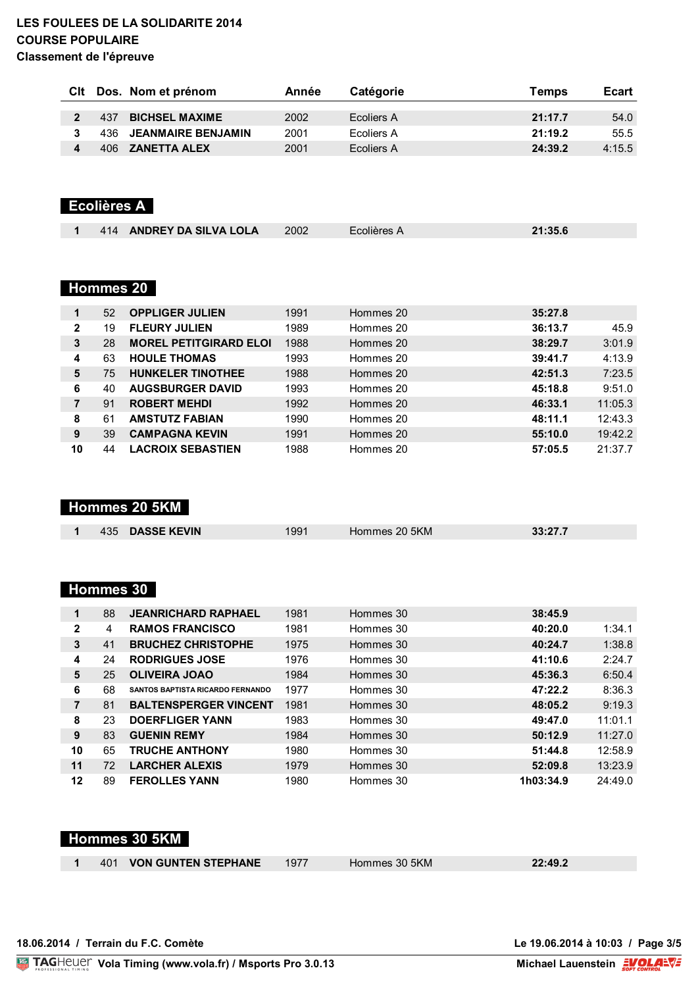#### **LES FOULEES DE LA SOLIDARITE 2014 COURSE POPULAIRE Classement de l'épreuve**

| Clt |      | Dos. Nom et prénom        | Année | Catégorie  | Temps   | <b>Ecart</b> |
|-----|------|---------------------------|-------|------------|---------|--------------|
|     |      |                           |       |            |         |              |
|     | 437  | <b>BICHSEL MAXIME</b>     | 2002  | Ecoliers A | 21:17.7 | 54.0         |
|     | 436. | <b>JEANMAIRE BENJAMIN</b> | 2001  | Ecoliers A | 21:19.2 | 55.5         |
|     | 406  | <b>ZANETTA ALEX</b>       | 2001  | Ecoliers A | 24:39.2 | 4:15.5       |

## **Ecolières A**

|  |  | 414 | <b>ANDREY DA SILVA LOLA</b> | 2002 | Écolières A | 21:35.6 |  |
|--|--|-----|-----------------------------|------|-------------|---------|--|
|--|--|-----|-----------------------------|------|-------------|---------|--|

#### **Hommes 20**

| 1            | 52 | <b>OPPLIGER JULIEN</b>        | 1991 | Hommes 20 | 35:27.8 |         |
|--------------|----|-------------------------------|------|-----------|---------|---------|
| $\mathbf{2}$ | 19 | <b>FLEURY JULIEN</b>          | 1989 | Hommes 20 | 36:13.7 | 45.9    |
| 3            | 28 | <b>MOREL PETITGIRARD ELOI</b> | 1988 | Hommes 20 | 38:29.7 | 3:01.9  |
| 4            | 63 | <b>HOULE THOMAS</b>           | 1993 | Hommes 20 | 39:41.7 | 4:13.9  |
| 5            | 75 | <b>HUNKELER TINOTHEE</b>      | 1988 | Hommes 20 | 42:51.3 | 7:23.5  |
| 6            | 40 | <b>AUGSBURGER DAVID</b>       | 1993 | Hommes 20 | 45:18.8 | 9:51.0  |
| 7            | 91 | <b>ROBERT MEHDI</b>           | 1992 | Hommes 20 | 46:33.1 | 11:05.3 |
| 8            | 61 | <b>AMSTUTZ FABIAN</b>         | 1990 | Hommes 20 | 48:11.1 | 12:43.3 |
| 9            | 39 | <b>CAMPAGNA KEVIN</b>         | 1991 | Hommes 20 | 55:10.0 | 19:42.2 |
| 10           | 44 | <b>LACROIX SEBASTIEN</b>      | 1988 | Hommes 20 | 57:05.5 | 21:37.7 |

#### **Hommes 20 5KM**

| <b>DASSE KEVIN</b><br>435 | 991 | Hommes 20 5KM | 33:27.7 |
|---------------------------|-----|---------------|---------|
|                           |     |               |         |

## **Hommes 30**

| 1            | 88 | <b>JEANRICHARD RAPHAEL</b>              | 1981 | Hommes 30 | 38:45.9   |         |
|--------------|----|-----------------------------------------|------|-----------|-----------|---------|
| $\mathbf{2}$ | 4  | <b>RAMOS FRANCISCO</b>                  | 1981 | Hommes 30 | 40:20.0   | 1:34.1  |
| 3            | 41 | <b>BRUCHEZ CHRISTOPHE</b>               | 1975 | Hommes 30 | 40:24.7   | 1:38.8  |
| 4            | 24 | <b>RODRIGUES JOSE</b>                   | 1976 | Hommes 30 | 41:10.6   | 2:24.7  |
| 5            | 25 | <b>OLIVEIRA JOAO</b>                    | 1984 | Hommes 30 | 45:36.3   | 6:50.4  |
| 6            | 68 | <b>SANTOS BAPTISTA RICARDO FERNANDO</b> | 1977 | Hommes 30 | 47:22.2   | 8:36.3  |
| 7            | 81 | <b>BALTENSPERGER VINCENT</b>            | 1981 | Hommes 30 | 48:05.2   | 9:19.3  |
| 8            | 23 | <b>DOERFLIGER YANN</b>                  | 1983 | Hommes 30 | 49:47.0   | 11:01.1 |
| 9            | 83 | <b>GUENIN REMY</b>                      | 1984 | Hommes 30 | 50:12.9   | 11:27.0 |
| 10           | 65 | <b>TRUCHE ANTHONY</b>                   | 1980 | Hommes 30 | 51:44.8   | 12:58.9 |
| 11           | 72 | <b>LARCHER ALEXIS</b>                   | 1979 | Hommes 30 | 52:09.8   | 13:23.9 |
| 12           | 89 | <b>FEROLLES YANN</b>                    | 1980 | Hommes 30 | 1h03:34.9 | 24:49.0 |

#### **Hommes 30 5KM**

| 401 | VON ( |
|-----|-------|
|     |       |

401 **VON GUNTEN STEPHANE** 1977 Hommes 30 5KM **22:49.2**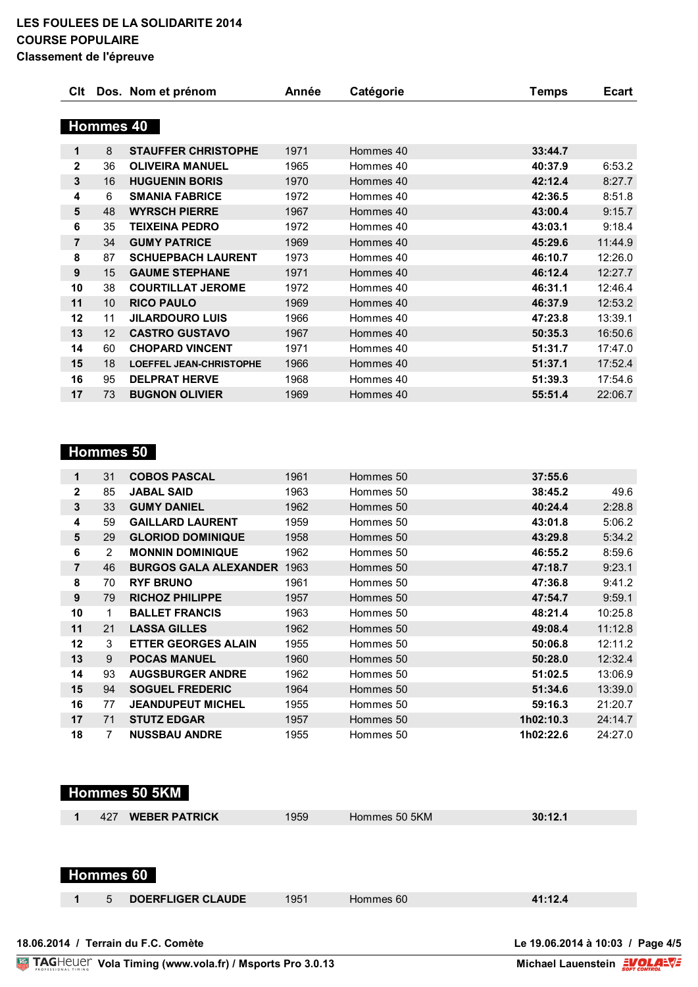|                  |           | Clt Dos. Nom et prénom         | Année | Catégorie | Temps   | <b>Ecart</b> |
|------------------|-----------|--------------------------------|-------|-----------|---------|--------------|
|                  |           |                                |       |           |         |              |
|                  | Hommes 40 |                                |       |           |         |              |
| 1                | 8         | <b>STAUFFER CHRISTOPHE</b>     | 1971  | Hommes 40 | 33:44.7 |              |
| $\mathbf 2$      | 36        | <b>OLIVEIRA MANUEL</b>         | 1965  | Hommes 40 | 40:37.9 | 6:53.2       |
| 3                | 16        | <b>HUGUENIN BORIS</b>          | 1970  | Hommes 40 | 42:12.4 | 8:27.7       |
| 4                | 6         | <b>SMANIA FABRICE</b>          | 1972  | Hommes 40 | 42:36.5 | 8:51.8       |
| 5                | 48        | <b>WYRSCH PIERRE</b>           | 1967  | Hommes 40 | 43:00.4 | 9:15.7       |
| 6                | 35        | <b>TEIXEINA PEDRO</b>          | 1972  | Hommes 40 | 43:03.1 | 9:18.4       |
| $\overline{7}$   | 34        | <b>GUMY PATRICE</b>            | 1969  | Hommes 40 | 45:29.6 | 11:44.9      |
| 8                | 87        | <b>SCHUEPBACH LAURENT</b>      | 1973  | Hommes 40 | 46:10.7 | 12:26.0      |
| $\boldsymbol{9}$ | 15        | <b>GAUME STEPHANE</b>          | 1971  | Hommes 40 | 46:12.4 | 12:27.7      |
| 10               | 38        | <b>COURTILLAT JEROME</b>       | 1972  | Hommes 40 | 46:31.1 | 12:46.4      |
| 11               | 10        | <b>RICO PAULO</b>              | 1969  | Hommes 40 | 46:37.9 | 12:53.2      |
| 12               | 11        | <b>JILARDOURO LUIS</b>         | 1966  | Hommes 40 | 47:23.8 | 13:39.1      |
| 13               | 12        | <b>CASTRO GUSTAVO</b>          | 1967  | Hommes 40 | 50:35.3 | 16:50.6      |
| 14               | 60        | <b>CHOPARD VINCENT</b>         | 1971  | Hommes 40 | 51:31.7 | 17:47.0      |
| 15               | 18        | <b>LOEFFEL JEAN-CHRISTOPHE</b> | 1966  | Hommes 40 | 51:37.1 | 17:52.4      |
| 16               | 95        | <b>DELPRAT HERVE</b>           | 1968  | Hommes 40 | 51:39.3 | 17:54.6      |
| 17               | 73        | <b>BUGNON OLIVIER</b>          | 1969  | Hommes 40 | 55:51.4 | 22:06.7      |

## **Hommes 50**

| 1              | 31             | <b>COBOS PASCAL</b>               | 1961 | Hommes 50 | 37:55.6   |         |
|----------------|----------------|-----------------------------------|------|-----------|-----------|---------|
| $\mathbf{2}$   | 85             | <b>JABAL SAID</b>                 | 1963 | Hommes 50 | 38:45.2   | 49.6    |
| 3              | 33             | <b>GUMY DANIEL</b>                | 1962 | Hommes 50 | 40:24.4   | 2:28.8  |
| 4              | 59             | <b>GAILLARD LAURENT</b>           | 1959 | Hommes 50 | 43:01.8   | 5:06.2  |
| 5              | 29             | <b>GLORIOD DOMINIQUE</b>          | 1958 | Hommes 50 | 43:29.8   | 5:34.2  |
| 6              | 2              | <b>MONNIN DOMINIQUE</b>           | 1962 | Hommes 50 | 46:55.2   | 8:59.6  |
| $\overline{7}$ | 46             | <b>BURGOS GALA ALEXANDER 1963</b> |      | Hommes 50 | 47:18.7   | 9:23.1  |
| 8              | 70             | <b>RYF BRUNO</b>                  | 1961 | Hommes 50 | 47:36.8   | 9:41.2  |
| 9              | 79             | <b>RICHOZ PHILIPPE</b>            | 1957 | Hommes 50 | 47:54.7   | 9:59.1  |
| 10             | 1              | <b>BALLET FRANCIS</b>             | 1963 | Hommes 50 | 48:21.4   | 10:25.8 |
| 11             | 21             | <b>LASSA GILLES</b>               | 1962 | Hommes 50 | 49:08.4   | 11:12.8 |
| 12             | 3              | <b>ETTER GEORGES ALAIN</b>        | 1955 | Hommes 50 | 50:06.8   | 12:11.2 |
| 13             | 9              | <b>POCAS MANUEL</b>               | 1960 | Hommes 50 | 50:28.0   | 12:32.4 |
| 14             | 93             | <b>AUGSBURGER ANDRE</b>           | 1962 | Hommes 50 | 51:02.5   | 13:06.9 |
| 15             | 94             | <b>SOGUEL FREDERIC</b>            | 1964 | Hommes 50 | 51:34.6   | 13:39.0 |
| 16             | 77             | <b>JEANDUPEUT MICHEL</b>          | 1955 | Hommes 50 | 59:16.3   | 21:20.7 |
| 17             | 71             | <b>STUTZ EDGAR</b>                | 1957 | Hommes 50 | 1h02:10.3 | 24:14.7 |
| 18             | $\overline{7}$ | <b>NUSSBAU ANDRE</b>              | 1955 | Hommes 50 | 1h02:22.6 | 24:27.0 |

| Hommes 50 5KM                      |      |               |         |
|------------------------------------|------|---------------|---------|
| <b>WEBER PATRICK</b><br>427<br>1   | 1959 | Hommes 50 5KM | 30:12.1 |
| Hommes 60                          |      |               |         |
| <b>DOERFLIGER CLAUDE</b><br>5<br>1 | 1951 | Hommes 60     | 41:12.4 |
|                                    |      |               |         |